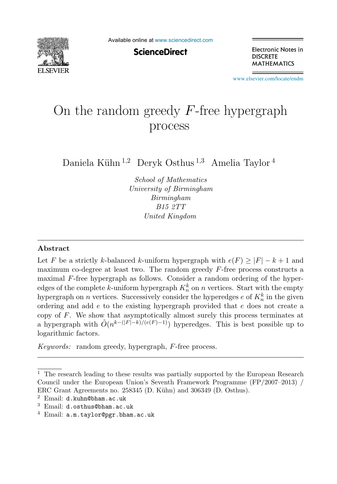

Available online at [www.sciencedirect.com](http://www.sciencedirect.com)

**ScienceDirect** 

Electronic Notes in **DISCRETE MATHEMATICS** 

[www.elsevier.com/locate/endm](http://www.elsevier.com/locate/endm)

# On the random greedy  $F$ -free hypergraph process

Daniela Kühn <sup>1,2</sup> Deryk Osthus <sup>1,3</sup> Amelia Taylor<sup>4</sup>

School of Mathematics University of Birmingham Birmingham B15 2TT United Kingdom

#### **Abstract**

Let F be a strictly k-balanced k-uniform hypergraph with  $e(F) \geq |F| - k + 1$  and maximum co-degree at least two. The random greedy F-free process constructs a maximal F-free hypergraph as follows. Consider a random ordering of the hyperedges of the complete k-uniform hypergraph  $K_n^k$  on n vertices. Start with the empty hypergraph on *n* vertices. Successively consider the hyperedges  $e$  of  $K_n^k$  in the given ordering and add  $e$  to the existing hypergraph provided that  $e$  does not create a copy of F. We show that asymptotically almost surely this process terminates at a hypergraph with  $\tilde{O}(n^{k-(|F|-k)/(e(F)-1)})$  hyperedges. This is best possible up to logarithmic factors.

Keywords: random greedy, hypergraph, F-free process.

 $^{\rm 1}$  The research leading to these results was partially supported by the European Research Council under the European Union's Seventh Framework Programme (FP/2007–2013) / ERC Grant Agreements no. 258345 (D. Kühn) and 306349 (D. Osthus). <sup>2</sup> Email: d.kuhn@bham.ac.uk

<sup>3</sup> Email: d.osthus@bham.ac.uk

 $4$  Email:  $a.m.taylor@pgr.bham.ac.uk$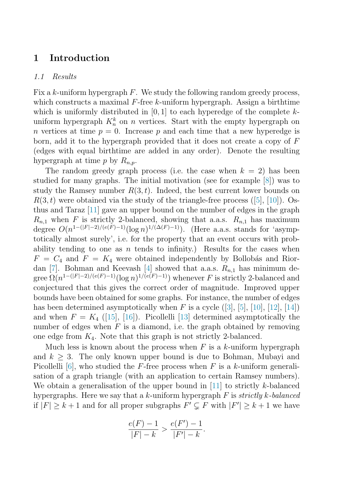## **1 Introduction**

#### 1.1 Results

Fix a k-uniform hypergraph  $F$ . We study the following random greedy process, which constructs a maximal  $F$ -free k-uniform hypergraph. Assign a birthtime which is uniformly distributed in  $[0, 1]$  to each hyperedge of the complete kuniform hypergraph  $K_n^k$  on n vertices. Start with the empty hypergraph on n vertices at time  $p = 0$ . Increase p and each time that a new hyperedge is born, add it to the hypergraph provided that it does not create a copy of  $F$ (edges with equal birthtime are added in any order). Denote the resulting hypergraph at time p by  $R_{n,p}$ .

The random greedy graph process (i.e. the case when  $k = 2$ ) has been studied for many graphs. The initial motivation (see for example [\[8\]](#page-4-0)) was to study the Ramsey number  $R(3, t)$ . Indeed, the best current lower bounds on  $R(3, t)$  were obtained via the study of the triangle-free process ([\[5\]](#page-4-0), [\[10\]](#page-4-0)). Osthus and Taraz [\[11\]](#page-4-0) gave an upper bound on the number of edges in the graph  $R_{n,1}$  when F is strictly 2-balanced, showing that a.a.s.  $R_{n,1}$  has maximum degree  $O(n^{1-(|F|-2)/(e(F)-1)}(\log n)^{1/(\Delta(F)-1)})$ . (Here a.a.s. stands for 'asymptotically almost surely', i.e. for the property that an event occurs with probability tending to one as n tends to infinity.) Results for the cases when  $F = C_4$  and  $F = K_4$  were obtained independently by Bollobás and Rior-dan [\[7\]](#page-4-0). Bohman and Keevash [\[4\]](#page-4-0) showed that a.a.s.  $R_{n,1}$  has minimum degree  $\Omega(n^{1-(|F|-2)/(e(F)-1)}(\log n)^{1/(e(F)-1)})$  whenever F is strictly 2-balanced and conjectured that this gives the correct order of magnitude. Improved upper bounds have been obtained for some graphs. For instance, the number of edges has been determined asymptotically when F is a cycle  $([3], [5], [10], [12], [14])$  $([3], [5], [10], [12], [14])$  $([3], [5], [10], [12], [14])$  $([3], [5], [10], [12], [14])$  $([3], [5], [10], [12], [14])$  $([3], [5], [10], [12], [14])$  $([3], [5], [10], [12], [14])$  $([3], [5], [10], [12], [14])$  $([3], [5], [10], [12], [14])$  $([3], [5], [10], [12], [14])$  $([3], [5], [10], [12], [14])$ and when  $F = K_4$  ([\[15\]](#page-4-0), [\[16\]](#page-4-0)). Picollelli [\[13\]](#page-4-0) determined asymptotically the number of edges when  $F$  is a diamond, i.e. the graph obtained by removing one edge from  $K_4$ . Note that this graph is not strictly 2-balanced.

Much less is known about the process when  $F$  is a k-uniform hypergraph and  $k > 3$ . The only known upper bound is due to Bohman, Mubayi and Picollelli [\[6\]](#page-4-0), who studied the F-free process when F is a k-uniform generalisation of a graph triangle (with an application to certain Ramsey numbers). We obtain a generalisation of the upper bound in  $[11]$  to strictly k-balanced hypergraphs. Here we say that a k-uniform hypergraph  $F$  is strictly k-balanced if  $|F| \geq k+1$  and for all proper subgraphs  $F' \subsetneq F$  with  $|F'| \geq k+1$  we have

$$
\frac{e(F) - 1}{|F| - k} > \frac{e(F') - 1}{|F'| - k}.
$$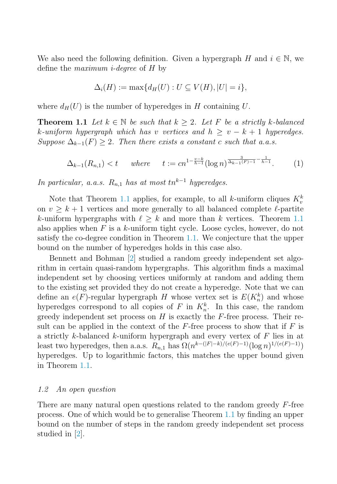<span id="page-2-0"></span>We also need the following definition. Given a hypergraph H and  $i \in \mathbb{N}$ , we define the maximum i-degree of H by

$$
\Delta_i(H) := \max\{d_H(U) : U \subseteq V(H), |U| = i\},\
$$

where  $d_H(U)$  is the number of hyperedges in H containing U.

**Theorem 1.1** Let  $k \in \mathbb{N}$  be such that  $k \geq 2$ . Let F be a strictly k-balanced k-uniform hypergraph which has v vertices and  $h \ge v - k + 1$  hyperedges. Suppose  $\Delta_{k-1}(F) \geq 2$ . Then there exists a constant c such that a.a.s.

$$
\Delta_{k-1}(R_{n,1}) < t \quad \text{where} \quad t := c n^{1 - \frac{v - k}{h - 1}} (\log n)^{\frac{3}{\Delta_{k-1}(F) - 1} - \frac{1}{h - 1}}. \tag{1}
$$

In particular, a.a.s.  $R_{n,1}$  has at most tn<sup>k-1</sup> hyperedges.

Note that Theorem 1.1 applies, for example, to all k-uniform cliques  $K_v^k$ on  $v \geq k+1$  vertices and more generally to all balanced complete  $\ell$ -partite k-uniform hypergraphs with  $\ell \geq k$  and more than k vertices. Theorem 1.1 also applies when  $F$  is a  $k$ -uniform tight cycle. Loose cycles, however, do not satisfy the co-degree condition in Theorem 1.1. We conjecture that the upper bound on the number of hyperedges holds in this case also.

Bennett and Bohman [\[2\]](#page-4-0) studied a random greedy independent set algorithm in certain quasi-random hypergraphs. This algorithm finds a maximal independent set by choosing vertices uniformly at random and adding them to the existing set provided they do not create a hyperedge. Note that we can define an  $e(F)$ -regular hypergraph H whose vertex set is  $E(K_n^k)$  and whose hyperedges correspond to all copies of  $F$  in  $K_n^k$ . In this case, the random greedy independent set process on  $H$  is exactly the  $F$ -free process. Their result can be applied in the context of the  $F$ -free process to show that if  $F$  is a strictly  $k$ -balanced  $k$ -uniform hypergraph and every vertex of  $F$  lies in at least two hyperedges, then a.a.s.  $R_{n,1}$  has  $\Omega(n^{k-(|F|-k)/(e(F)-1)}(\log n)^{1/(e(F)-1)})$ hyperedges. Up to logarithmic factors, this matches the upper bound given in Theorem 1.1.

#### 1.2 An open question

There are many natural open questions related to the random greedy  $F$ -free process. One of which would be to generalise Theorem 1.1 by finding an upper bound on the number of steps in the random greedy independent set process studied in [\[2\]](#page-4-0).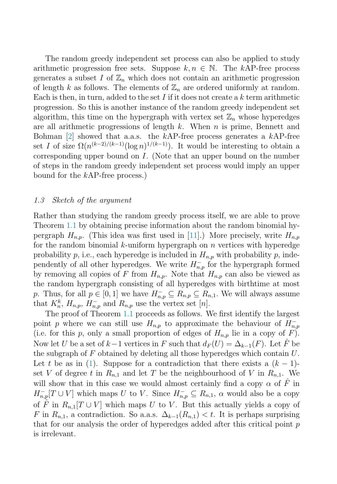The random greedy independent set process can also be applied to study arithmetic progression free sets. Suppose  $k, n \in \mathbb{N}$ . The kAP-free process generates a subset I of  $\mathbb{Z}_n$  which does not contain an arithmetic progression of length k as follows. The elements of  $\mathbb{Z}_n$  are ordered uniformly at random. Each is then, in turn, added to the set I if it does not create a  $k$  term arithmetic progression. So this is another instance of the random greedy independent set algorithm, this time on the hypergraph with vertex set  $\mathbb{Z}_n$  whose hyperedges are all arithmetic progressions of length  $k$ . When  $n$  is prime, Bennett and Bohman  $\lbrack 2\rbrack$  showed that a.a.s. the kAP-free process generates a kAP-free set I of size  $\Omega(n^{(k-2)/(k-1)}(\log n)^{1/(k-1)})$ . It would be interesting to obtain a corresponding upper bound on I. (Note that an upper bound on the number of steps in the random greedy independent set process would imply an upper bound for the kAP-free process.)

#### 1.3 Sketch of the argument

Rather than studying the random greedy process itself, we are able to prove Theorem [1.1](#page-2-0) by obtaining precise information about the random binomial hypergraph  $H_{n,p}$ . (This idea was first used in [\[11\]](#page-4-0).) More precisely, write  $H_{n,p}$ for the random binomial k-uniform hypergraph on n vertices with hyperedge probability p, i.e., each hyperedge is included in  $H_{n,p}$  with probability p, independently of all other hyperedges. We write  $H_{n,p}^-$  for the hypergraph formed by removing all copies of F from  $H_{n,p}$ . Note that  $H_{n,p}$  can also be viewed as the random hypergraph consisting of all hyperedges with birthtime at most p. Thus, for all  $p \in [0,1]$  we have  $H_{n,p}^- \subseteq R_{n,p} \subseteq R_{n,1}$ . We will always assume that  $K_n^k$ ,  $H_{n,p}$ ,  $H_{n,p}^-$  and  $R_{n,p}$  use the vertex set [n].

The proof of Theorem [1.1](#page-2-0) proceeds as follows. We first identify the largest point p where we can still use  $H_{n,p}$  to approximate the behaviour of  $H_{n,p}^-$ (i.e. for this p, only a small proportion of edges of  $H_{n,p}$  lie in a copy of F). Now let U be a set of k−1 vertices in F such that  $d_F(U)=\Delta_{k-1}(F)$ . Let F be the subgraph of  $F$  obtained by deleting all those hyperedges which contain  $U$ . Let t be as in [\(1\)](#page-2-0). Suppose for a contradiction that there exists a  $(k-1)$ set V of degree t in  $R_{n,1}$  and let T be the neighbourhood of V in  $R_{n,1}$ . We will show that in this case we would almost certainly find a copy  $\alpha$  of  $\hat{F}$  in  $H_{n,p}^-[T \cup V]$  which maps U to V. Since  $H_{n,p}^- \subseteq R_{n,1}$ ,  $\alpha$  would also be a copy of  $\hat{F}$  in  $R_{n,1}[T \cup V]$  which maps U to V. But this actually yields a copy of F in  $R_{n,1}$ , a contradiction. So a.a.s.  $\Delta_{k-1}(R_{n,1}) < t$ . It is perhaps surprising that for our analysis the order of hyperedges added after this critical point p is irrelevant.